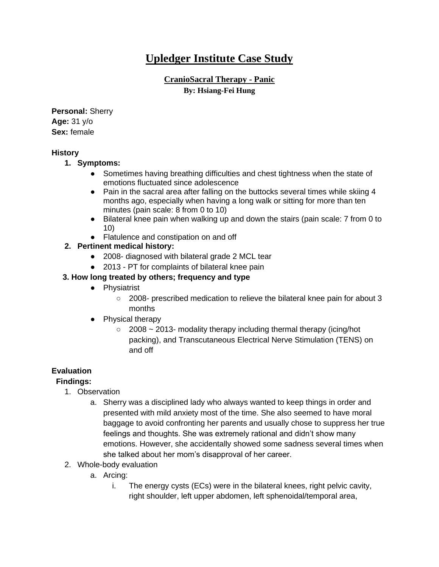# **Upledger Institute Case Study**

# **CranioSacral Therapy - Panic By: Hsiang-Fei Hung**

**Personal:** Sherry **Age:** 31 y/o **Sex:** female

#### **History**

- **1. Symptoms:** 
	- Sometimes having breathing difficulties and chest tightness when the state of emotions fluctuated since adolescence
	- Pain in the sacral area after falling on the buttocks several times while skiing 4 months ago, especially when having a long walk or sitting for more than ten minutes (pain scale: 8 from 0 to 10)
	- Bilateral knee pain when walking up and down the stairs (pain scale: 7 from 0 to 10)
	- Flatulence and constipation on and off
- **2. Pertinent medical history:**
	- 2008- diagnosed with bilateral grade 2 MCL tear
	- 2013 PT for complaints of bilateral knee pain

# **3. How long treated by others; frequency and type**

- Physiatrist
	- 2008- prescribed medication to relieve the bilateral knee pain for about 3 months
- Physical therapy
	- $\degree$  2008 ~ 2013- modality therapy including thermal therapy (icing/hot packing), and Transcutaneous Electrical Nerve Stimulation (TENS) on and off

# **Evaluation**

# **Findings:**

- 1. Observation
	- a. Sherry was a disciplined lady who always wanted to keep things in order and presented with mild anxiety most of the time. She also seemed to have moral baggage to avoid confronting her parents and usually chose to suppress her true feelings and thoughts. She was extremely rational and didn't show many emotions. However, she accidentally showed some sadness several times when she talked about her mom's disapproval of her career.
- 2. Whole-body evaluation
	- a. Arcing:
		- i. The energy cysts (ECs) were in the bilateral knees, right pelvic cavity, right shoulder, left upper abdomen, left sphenoidal/temporal area,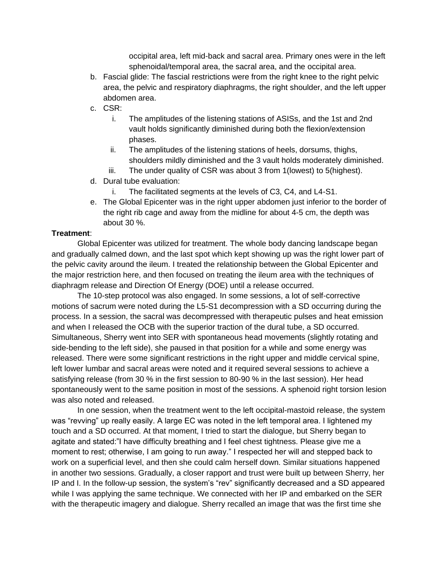occipital area, left mid-back and sacral area. Primary ones were in the left sphenoidal/temporal area, the sacral area, and the occipital area.

- b. Fascial glide: The fascial restrictions were from the right knee to the right pelvic area, the pelvic and respiratory diaphragms, the right shoulder, and the left upper abdomen area.
- c. CSR:
	- i. The amplitudes of the listening stations of ASISs, and the 1st and 2nd vault holds significantly diminished during both the flexion/extension phases.
	- ii. The amplitudes of the listening stations of heels, dorsums, thighs, shoulders mildly diminished and the 3 vault holds moderately diminished.
	- iii. The under quality of CSR was about 3 from 1(lowest) to 5(highest).
- d. Dural tube evaluation:
	- i. The facilitated segments at the levels of C3, C4, and L4-S1.
- e. The Global Epicenter was in the right upper abdomen just inferior to the border of the right rib cage and away from the midline for about 4-5 cm, the depth was about 30 %.

#### **Treatment**:

Global Epicenter was utilized for treatment. The whole body dancing landscape began and gradually calmed down, and the last spot which kept showing up was the right lower part of the pelvic cavity around the ileum. I treated the relationship between the Global Epicenter and the major restriction here, and then focused on treating the ileum area with the techniques of diaphragm release and Direction Of Energy (DOE) until a release occurred.

The 10-step protocol was also engaged. In some sessions, a lot of self-corrective motions of sacrum were noted during the L5-S1 decompression with a SD occurring during the process. In a session, the sacral was decompressed with therapeutic pulses and heat emission and when I released the OCB with the superior traction of the dural tube, a SD occurred. Simultaneous, Sherry went into SER with spontaneous head movements (slightly rotating and side-bending to the left side), she paused in that position for a while and some energy was released. There were some significant restrictions in the right upper and middle cervical spine, left lower lumbar and sacral areas were noted and it required several sessions to achieve a satisfying release (from 30 % in the first session to 80-90 % in the last session). Her head spontaneously went to the same position in most of the sessions. A sphenoid right torsion lesion was also noted and released.

In one session, when the treatment went to the left occipital-mastoid release, the system was "revving" up really easily. A large EC was noted in the left temporal area. I lightened my touch and a SD occurred. At that moment, I tried to start the dialogue, but Sherry began to agitate and stated:"I have difficulty breathing and I feel chest tightness. Please give me a moment to rest; otherwise, I am going to run away." I respected her will and stepped back to work on a superficial level, and then she could calm herself down. Similar situations happened in another two sessions. Gradually, a closer rapport and trust were built up between Sherry, her IP and I. In the follow-up session, the system's "rev" significantly decreased and a SD appeared while I was applying the same technique. We connected with her IP and embarked on the SER with the therapeutic imagery and dialogue. Sherry recalled an image that was the first time she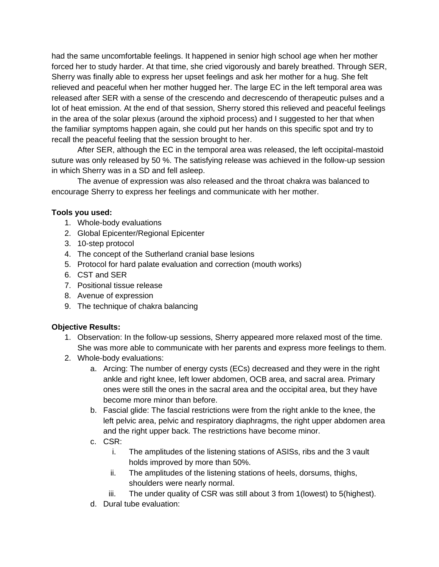had the same uncomfortable feelings. It happened in senior high school age when her mother forced her to study harder. At that time, she cried vigorously and barely breathed. Through SER, Sherry was finally able to express her upset feelings and ask her mother for a hug. She felt relieved and peaceful when her mother hugged her. The large EC in the left temporal area was released after SER with a sense of the crescendo and decrescendo of therapeutic pulses and a lot of heat emission. At the end of that session, Sherry stored this relieved and peaceful feelings in the area of the solar plexus (around the xiphoid process) and I suggested to her that when the familiar symptoms happen again, she could put her hands on this specific spot and try to recall the peaceful feeling that the session brought to her.

After SER, although the EC in the temporal area was released, the left occipital-mastoid suture was only released by 50 %. The satisfying release was achieved in the follow-up session in which Sherry was in a SD and fell asleep.

The avenue of expression was also released and the throat chakra was balanced to encourage Sherry to express her feelings and communicate with her mother.

#### **Tools you used:**

- 1. Whole-body evaluations
- 2. Global Epicenter/Regional Epicenter
- 3. 10-step protocol
- 4. The concept of the Sutherland cranial base lesions
- 5. Protocol for hard palate evaluation and correction (mouth works)
- 6. CST and SER
- 7. Positional tissue release
- 8. Avenue of expression
- 9. The technique of chakra balancing

#### **Objective Results:**

- 1. Observation: In the follow-up sessions, Sherry appeared more relaxed most of the time. She was more able to communicate with her parents and express more feelings to them.
- 2. Whole-body evaluations:
	- a. Arcing: The number of energy cysts (ECs) decreased and they were in the right ankle and right knee, left lower abdomen, OCB area, and sacral area. Primary ones were still the ones in the sacral area and the occipital area, but they have become more minor than before.
	- b. Fascial glide: The fascial restrictions were from the right ankle to the knee, the left pelvic area, pelvic and respiratory diaphragms, the right upper abdomen area and the right upper back. The restrictions have become minor.
	- c. CSR:
		- i. The amplitudes of the listening stations of ASISs, ribs and the 3 vault holds improved by more than 50%.
		- ii. The amplitudes of the listening stations of heels, dorsums, thighs, shoulders were nearly normal.
		- iii. The under quality of CSR was still about 3 from 1(lowest) to 5(highest).
	- d. Dural tube evaluation: